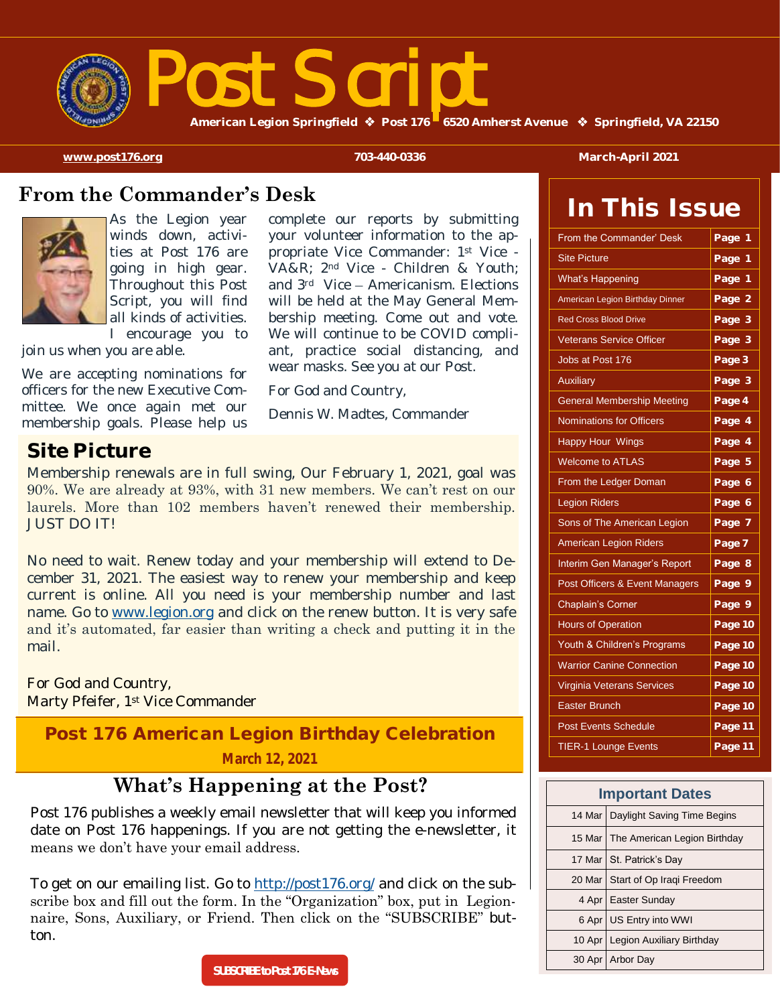

# st Scrip

**American Legion Springfield Post 176 6520 Amherst Avenue Springfield, VA 22150** 

**[www.post176.org](http://www.post176.org) 703-440-0336 March-April 2021**

In This Issue

### **From the Commander's Desk**



As the Legion year winds down, activities at Post 176 are going in high gear. Throughout this Post Script, you will find all kinds of activities. I encourage you to

join us when you are able.

We are accepting nominations for officers for the new Executive Committee. We once again met our membership goals. Please help us complete our reports by submitting your volunteer information to the appropriate Vice Commander: 1st Vice - VA&R; 2nd Vice - Children & Youth; and 3rd Vice – Americanism. Elections will be held at the May General Membership meeting. Come out and vote. We will continue to be COVID compliant, practice social distancing, and wear masks. See you at our Post.

For God and Country,

Dennis W. Madtes, Commander

### **Site Picture**

Membership renewals are in full swing, Our February 1, 2021, goal was 90%. We are already at 93%, with 31 new members. We can't rest on our laurels. More than 102 members haven't renewed their membership. JUST DO IT!

No need to wait. Renew today and your membership will extend to December 31, 2021. The easiest way to renew your membership and keep current is online. All you need is your membership number and last name. Go to [www.legion.org](https://www.members.legion.org/CGI-BIN/lansaweb?webapp=MYLRENEW+webrtn=wr_memberdata+ml=LANSA:XHTML+part=TAL+lang=ENG#legion-org) and click on the renew button. It is very safe and it's automated, far easier than writing a check and putting it in the mail.

For God and Country, Marty Pfeifer, 1st Vice Commander

### Post 176 American Legion Birthday Celebration **March 12, 2021**

### **What's Happening at the Post?**

Post 176 publishes a weekly email newsletter that will keep you informed date on Post 176 happenings. If you are not getting the e-newsletter, it means we don't have your email address.

To get on our emailing list. Go to <http://post176.org/> and click on the subscribe box and fill out the form. In the "Organization" box, put in Legionnaire, Sons, Auxiliary, or Friend. Then click on the "SUBSCRIBE" button.

| From the Commander' Desk          | Page<br>1 |
|-----------------------------------|-----------|
| <b>Site Picture</b>               | Page<br>1 |
| <b>What's Happening</b>           | Page 1    |
| American Legion Birthday Dinner   | Page 2    |
| <b>Red Cross Blood Drive</b>      | Page 3    |
| <b>Veterans Service Officer</b>   | Page 3    |
| Jobs at Post 176                  | Page 3    |
| <b>Auxiliary</b>                  | Page 3    |
| <b>General Membership Meeting</b> | Page 4    |
| <b>Nominations for Officers</b>   | Page 4    |
| <b>Happy Hour Wings</b>           | Page 4    |
| <b>Welcome to ATLAS</b>           | Page 5    |
| From the Ledger Doman             | Page 6    |
| <b>Legion Riders</b>              | Page 6    |
| Sons of The American Legion       | Page 7    |
| <b>American Legion Riders</b>     | Page 7    |
| Interim Gen Manager's Report      | Page 8    |
| Post Officers & Event Managers    | Page 9    |
| <b>Chaplain's Corner</b>          | Page 9    |
| <b>Hours of Operation</b>         | Page 10   |
| Youth & Children's Programs       | Page 10   |
| <b>Warrior Canine Connection</b>  | Page 10   |
| <b>Virginia Veterans Services</b> | Page 10   |
| <b>Easter Brunch</b>              | Page 10   |
| <b>Post Events Schedule</b>       | Page 11   |
|                                   |           |

| <b>Important Dates</b> |                                       |  |
|------------------------|---------------------------------------|--|
|                        | 14 Mar   Daylight Saving Time Begins  |  |
|                        | 15 Mar   The American Legion Birthday |  |
|                        | 17 Mar   St. Patrick's Day            |  |
|                        | 20 Mar   Start of Op Iragi Freedom    |  |
|                        | 4 Apr   Easter Sunday                 |  |
|                        | 6 Apr   US Entry into WWI             |  |
|                        | 10 Apr   Legion Auxiliary Birthday    |  |
|                        | 30 Apr   Arbor Day                    |  |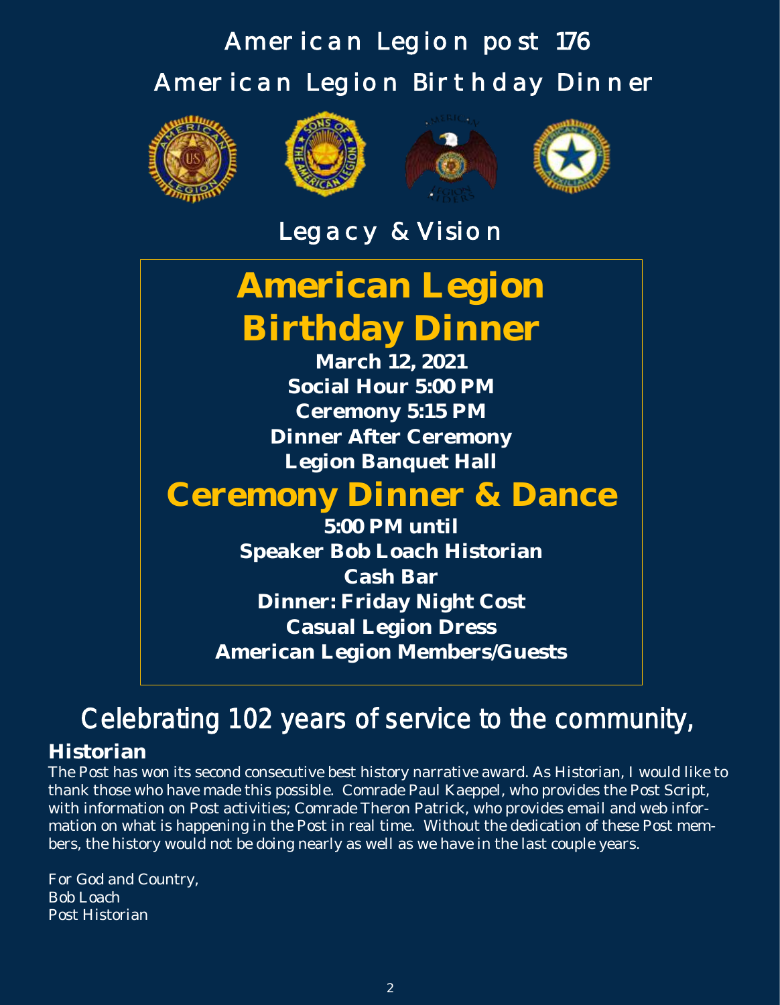## American Legion post 176 American Legion Birthday Dinner









Legacy & Vision

## **American Legion Birthday Dinner**

**March 12, 2021 Social Hour 5:00 PM Ceremony 5:15 PM Dinner After Ceremony Legion Banquet Hall**

## **Ceremony Dinner & Dance**

**5:00 PM until Speaker Bob Loach Historian Cash Bar Dinner: Friday Night Cost Casual Legion Dress American Legion Members/Guests**

## Celebrating 102 years of service to the community,

### **Historian**

The Post has won its second consecutive best history narrative award. As Historian, I would like to thank those who have made this possible. Comrade Paul Kaeppel, who provides the Post Script, with information on Post activities; Comrade Theron Patrick, who provides email and web information on what is happening in the Post in real time. Without the dedication of these Post members, the history would not be doing nearly as well as we have in the last couple years.

For God and Country, Bob Loach Post Historian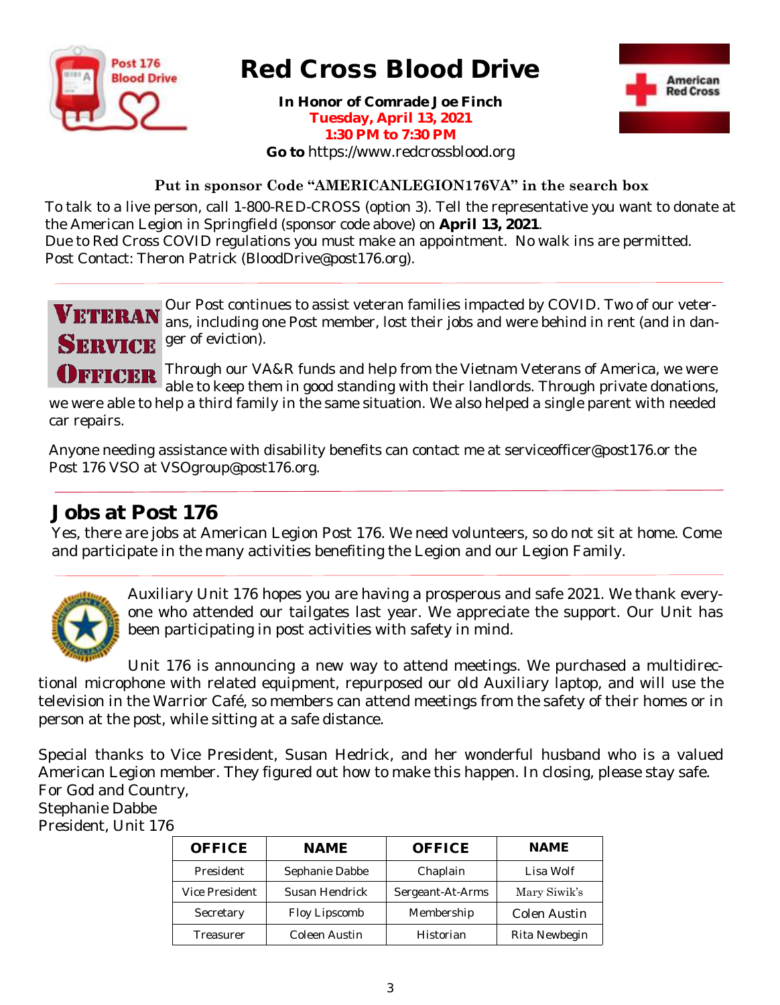

## Red Cross Blood Drive

**In Honor of Comrade Joe Finch Tuesday, April 13, 2021 1:30 PM to 7:30 PM Go to** https://www.redcrossblood.org



### **Put in sponsor Code "AMERICANLEGION176VA" in the search box**

To talk to a live person, call 1-800-RED-CROSS (option 3). Tell the representative you want to donate at the American Legion in Springfield (sponsor code above) on **April 13, 2021**. Due to Red Cross COVID regulations you must make an appointment. No walk ins are permitted. Post Contact: Theron Patrick (BloodDrive@post176.org).

Our Post continues to assist veteran families impacted by COVID. Two of our veter-VETERAN ans, including one Post member, lost their jobs and were behind in rent (and in danger of eviction). **SERVICE** 

Through our VA&R funds and help from the Vietnam Veterans of America, we were OFFICER able to keep them in good standing with their landlords. Through private donations, we were able to help a third family in the same situation. We also helped a single parent with needed car repairs.

Anyone needing assistance with disability benefits can contact me at serviceofficer@post176.or the Post 176 VSO at VSOgroup@post176.org.

### **Jobs at Post 176**

Yes, there are jobs at American Legion Post 176. We need volunteers, so do not sit at home. Come and participate in the many activities benefiting the Legion and our Legion Family.



Auxiliary Unit 176 hopes you are having a prosperous and safe 2021. We thank everyone who attended our tailgates last year. We appreciate the support. Our Unit has been participating in post activities with safety in mind.

Unit 176 is announcing a new way to attend meetings. We purchased a multidirectional microphone with related equipment, repurposed our old Auxiliary laptop, and will use the television in the Warrior Café, so members can attend meetings from the safety of their homes or in person at the post, while sitting at a safe distance.

Special thanks to Vice President, Susan Hedrick, and her wonderful husband who is a valued American Legion member. They figured out how to make this happen. In closing, please stay safe. For God and Country,

Stephanie Dabbe

President, Unit 176

| <b>OFFICE</b>  | <b>NAME</b>    | <b>OFFICE</b>    | <b>NAME</b>   |
|----------------|----------------|------------------|---------------|
| President      | Sephanie Dabbe | Chaplain         | Lisa Wolf     |
| Vice President | Susan Hendrick | Sergeant-At-Arms | Mary Siwik's  |
| Secretary      | Floy Lipscomb  | Membership       | Colen Austin  |
| Treasurer      | Coleen Austin  | Historian        | Rita Newbegin |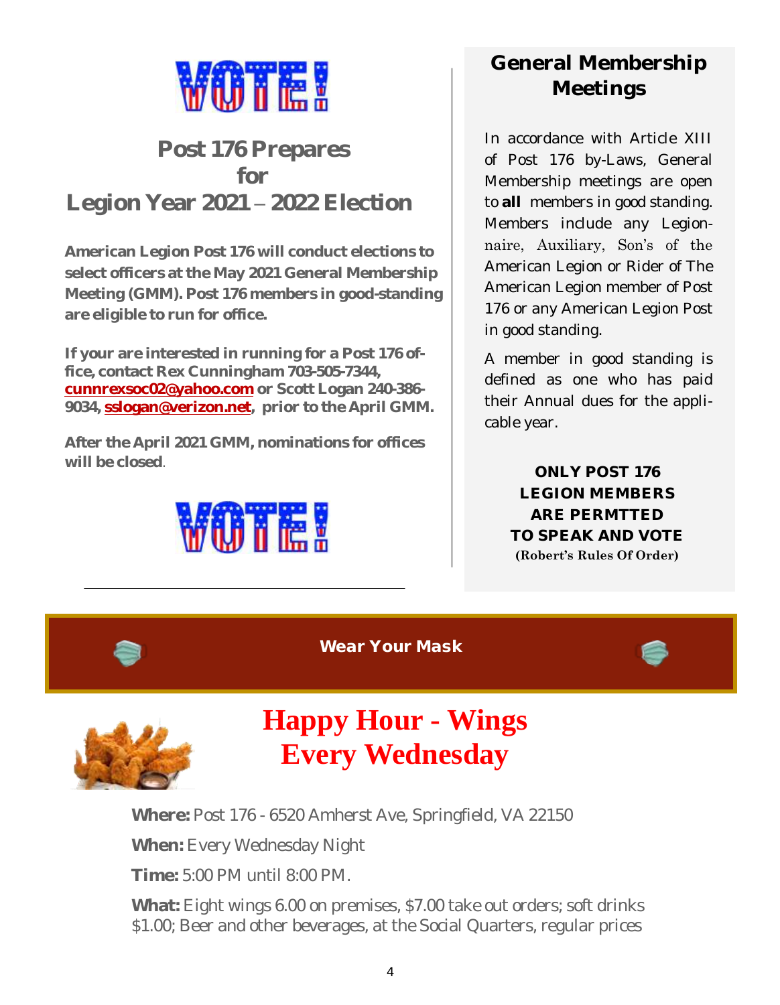

## **Post 176 Prepares for Legion Year 2021 – 2022 Election**

**American Legion Post 176 will conduct elections to select officers at the May 2021 General Membership Meeting (GMM). Post 176 members in good-standing are eligible to run for office.**

**If your are interested in running for a Post 176 office, contact Rex Cunningham 703-505-7344, [cunnrexsoc02@yahoo.com](mailto:cunnrexsoc02@yahoo.com) or Scott Logan 240-386- 9034, [sslogan@verizon.net,](mailto:sslogan@verizon.net) prior to the April GMM.**

**After the April 2021 GMM, nominations for offices will be closed**.



## **General Membership Meetings**

In accordance with Article XIII of Post 176 by-Laws, General Membership meetings are open to **all** members in good standing. Members include any Legionnaire, Auxiliary, Son's of the American Legion or Rider of The American Legion member of Post 176 or any American Legion Post in good standing.

A member in good standing is defined as one who has paid their Annual dues for the applicable year.

> **ONLY POST 176 LEGION MEMBERS ARE PERMTTED TO SPEAK AND VOTE (Robert's Rules Of Order)**

Wear Your Mask



## **Happy Hour - Wings Every Wednesday**

**Where:** Post 176 - 6520 Amherst Ave, Springfield, VA 22150

**When:** Every Wednesday Night

**Time:** 5:00 PM until 8:00 PM.

**What:** Eight wings 6.00 on premises, \$7.00 take out orders; soft drinks \$1.00; Beer and other beverages, at the Social Quarters, regular prices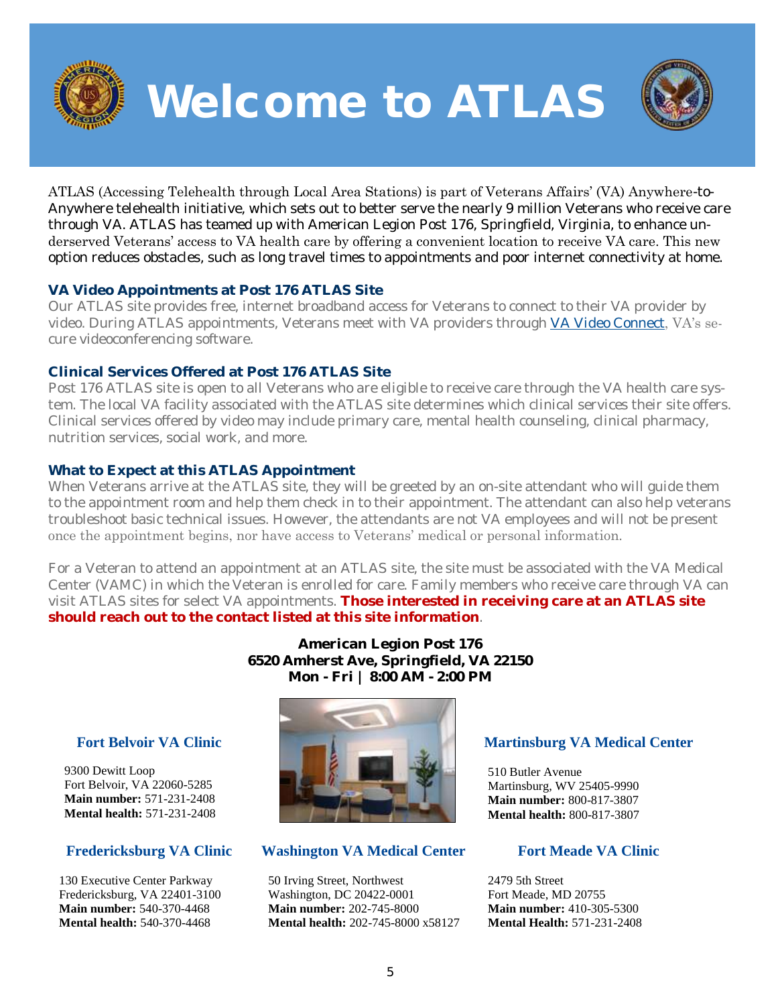

Welcome to ATLAS



ATLAS (Accessing Telehealth through Local Area Stations) is part of Veterans Affairs' (VA) Anywhere-to-Anywhere telehealth initiative, which sets out to better serve the nearly 9 million Veterans who receive care through VA. ATLAS has teamed up with American Legion Post 176, Springfield, Virginia, to enhance underserved Veterans' access to VA health care by offering a convenient location to receive VA care. This new option reduces obstacles, such as long travel times to appointments and poor internet connectivity at home.

### **VA Video Appointments at Post 176 ATLAS Site**

Our ATLAS site provides free, internet broadband access for Veterans to connect to their VA provider by video. During ATLAS appointments, Veterans meet with VA providers through [VA Video Connect,](https://mobile.va.gov/app/va-video-connect) VA's secure videoconferencing software.

### **Clinical Services Offered at Post 176 ATLAS Site**

Post 176 ATLAS site is open to all Veterans who are eligible to receive care through the VA health care system. The local VA facility associated with the ATLAS site determines which clinical services their site offers. Clinical services offered by video may include primary care, mental health counseling, clinical pharmacy, nutrition services, social work, and more.

### **What to Expect at this ATLAS Appointment**

When Veterans arrive at the ATLAS site, they will be greeted by an on-site attendant who will guide them to the appointment room and help them check in to their appointment. The attendant can also help veterans troubleshoot basic technical issues. However, the attendants are not VA employees and will not be present once the appointment begins, nor have access to Veterans' medical or personal information.

For a Veteran to attend an appointment at an ATLAS site, the site must be associated with the VA Medical Center (VAMC) in which the Veteran is enrolled for care. Family members who receive care through VA can visit ATLAS sites for select VA appointments. **Those interested in receiving care at an ATLAS site should reach out to the contact listed at this site information**.

> **American Legion Post 176 6520 Amherst Ave, Springfield, VA 22150 Mon - Fri | 8:00 AM - 2:00 PM**

### **[Fort Belvoir VA Clinic](about:blank)**

9300 Dewitt Loop Fort Belvoir, VA 22060-5285 **Main number:** [571-231-2408](about:blank) **Mental health:** [571-231-2408](about:blank)

### **[Fredericksburg VA Clinic](about:blank)**

130 Executive Center Parkway Fredericksburg, VA 22401-3100 **Main number:** [540-370-4468](about:blank) **Mental health:** [540-370-4468](about:blank) 



### **[Washington VA Medical Center](about:blank)**

50 Irving Street, Northwest Washington, DC 20422-0001 **Main number:** [202-745-8000](about:blank) **Mental health:** [202-745-8000 x58127](about:blank)

### **[Martinsburg VA Medical Center](about:blank)**

510 Butler Avenue Martinsburg, WV 25405-9990 **Main number:** [800-817-3807](about:blank) **Mental health:** [800-817-3807](about:blank)

### **[Fort Meade VA Clinic](about:blank)**

2479 5th Street Fort Meade, MD 20755 **Main number:** [410-305-5300](about:blank) **Mental Health:** [571-231-2408](about:blank)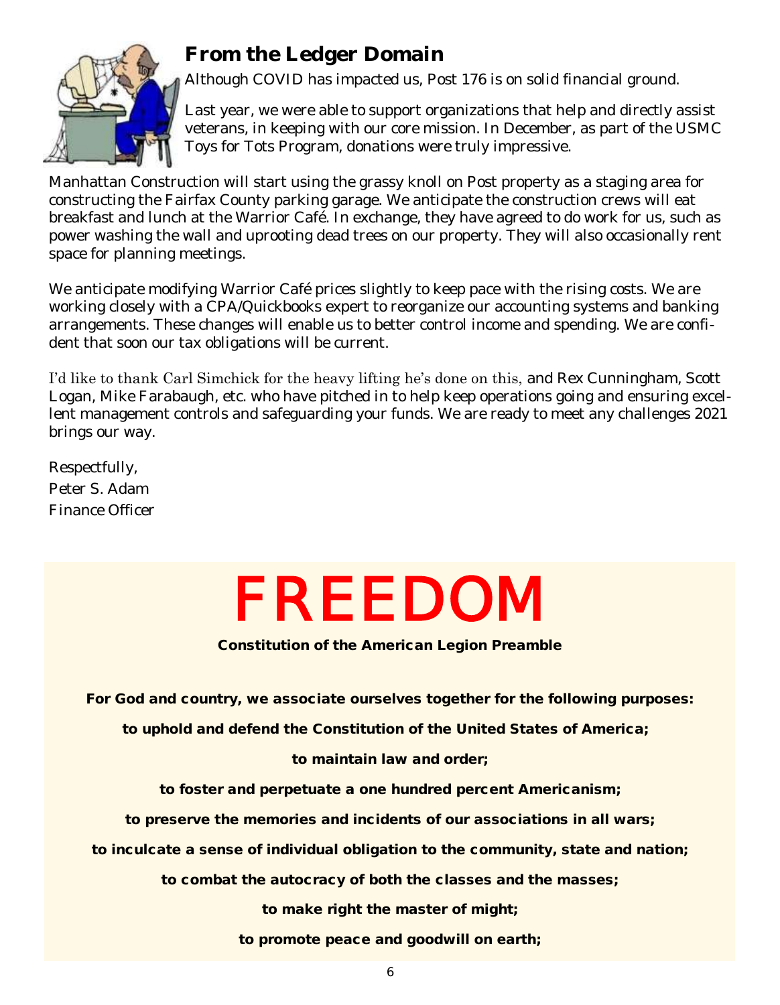

## **From the Ledger Domain**

Although COVID has impacted us, Post 176 is on solid financial ground.

Last year, we were able to support organizations that help and directly assist veterans, in keeping with our core mission. In December, as part of the USMC Toys for Tots Program, donations were truly impressive.

Manhattan Construction will start using the grassy knoll on Post property as a staging area for constructing the Fairfax County parking garage. We anticipate the construction crews will eat breakfast and lunch at the Warrior Café. In exchange, they have agreed to do work for us, such as power washing the wall and uprooting dead trees on our property. They will also occasionally rent space for planning meetings.

We anticipate modifying Warrior Café prices slightly to keep pace with the rising costs. We are working closely with a CPA/Quickbooks expert to reorganize our accounting systems and banking arrangements. These changes will enable us to better control income and spending. We are confident that soon our tax obligations will be current.

I'd like to thank Carl Simchick for the heavy lifting he's done on this, and Rex Cunningham, Scott Logan, Mike Farabaugh, etc. who have pitched in to help keep operations going and ensuring excellent management controls and safeguarding your funds. We are ready to meet any challenges 2021 brings our way.

Respectfully, Peter S. Adam Finance Officer

# FREEDOM

Constitution of the American Legion Preamble

For God and country, we associate ourselves together for the following purposes:

to uphold and defend the Constitution of the United States of America;

to maintain law and order;

to foster and perpetuate a one hundred percent Americanism;

to preserve the memories and incidents of our associations in all wars;

to inculcate a sense of individual obligation to the community, state and nation;

to combat the autocracy of both the classes and the masses;

to make right the master of might;

to promote peace and goodwill on earth;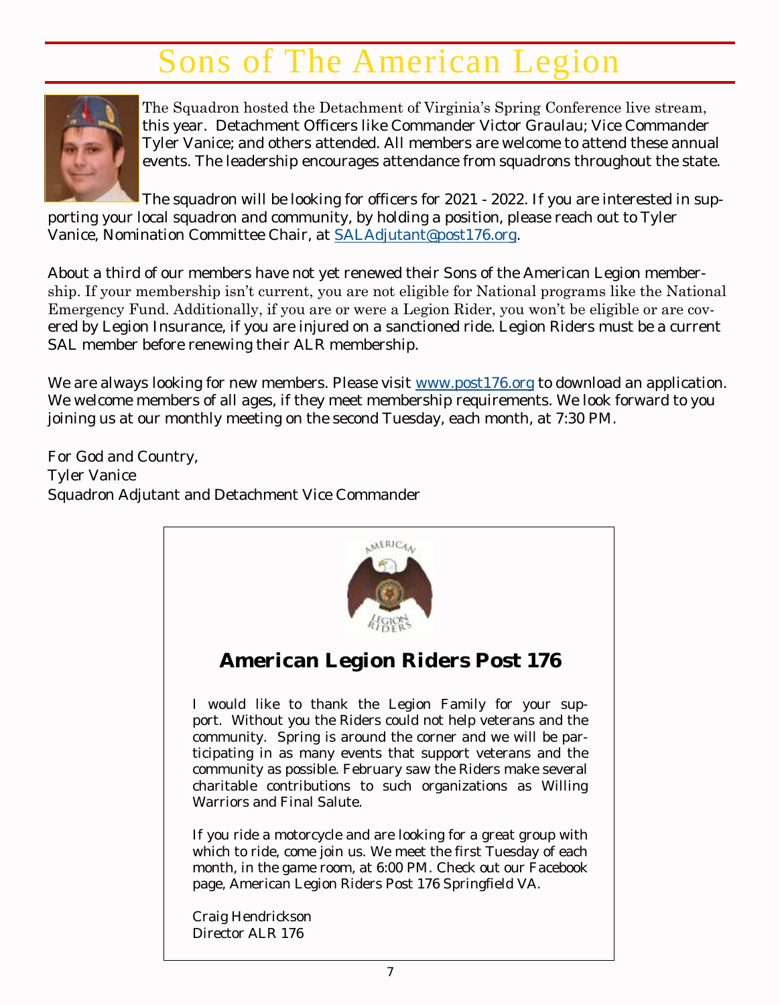## Sons of The American Legion



The Squadron hosted the Detachment of Virginia's Spring Conference live stream, this year. Detachment Officers like Commander Victor Graulau; Vice Commander Tyler Vanice; and others attended. All members are welcome to attend these annual events. The leadership encourages attendance from squadrons throughout the state.

The squadron will be looking for officers for 2021 - 2022. If you are interested in supporting your local squadron and community, by holding a position, please reach out to Tyler Vanice, Nomination Committee Chair, at [SALAdjutant@post176.org.](mailto:SALAdjutant@post176.org)

About a third of our members have not yet renewed their Sons of the American Legion membership. If your membership isn't current, you are not eligible for National programs like the National Emergency Fund. Additionally, if you are or were a Legion Rider, you won't be eligible or are covered by Legion Insurance, if you are injured on a sanctioned ride. Legion Riders must be a current SAL member before renewing their ALR membership.

We are always looking for new members. Please visit [www.post176.org](http://www.post176.org/) to download an application. We welcome members of all ages, if they meet membership requirements. We look forward to you joining us at our monthly meeting on the second Tuesday, each month, at 7:30 PM.

For God and Country, Tyler Vanice Squadron Adjutant and Detachment Vice Commander

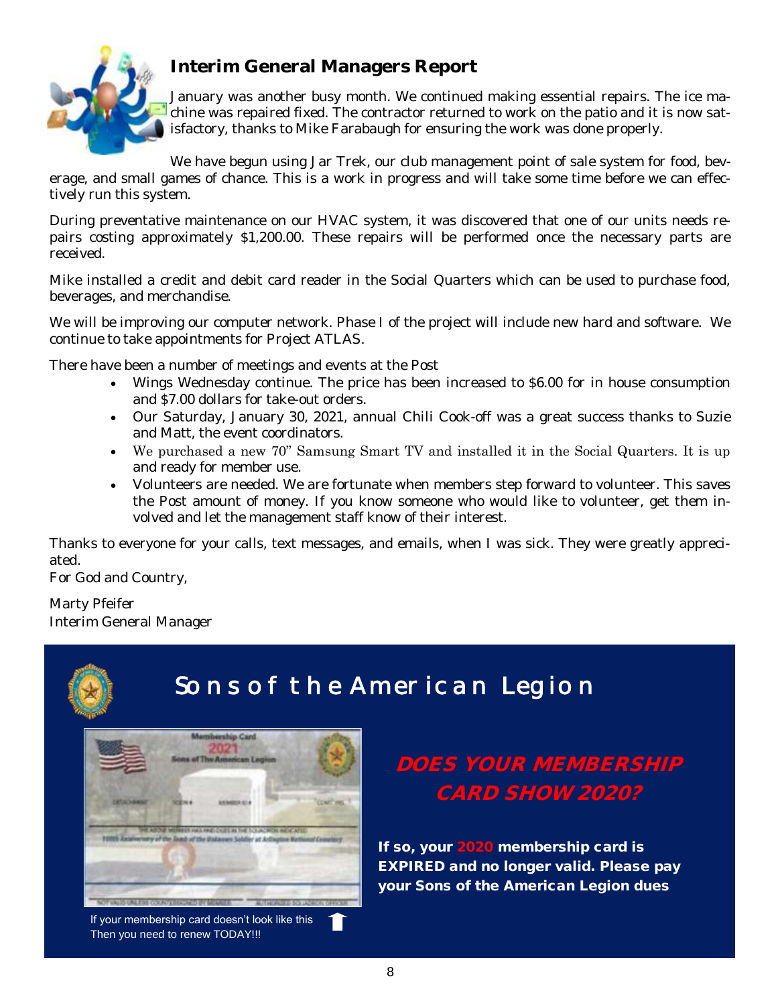

### **Interim General Managers Report**

January was another busy month. We continued making essential repairs. The ice machine was repaired fixed. The contractor returned to work on the patio and it is now satisfactory, thanks to Mike Farabaugh for ensuring the work was done properly.

We have begun using Jar Trek, our club management point of sale system for food, beverage, and small games of chance. This is a work in progress and will take some time before we can effectively run this system.

During preventative maintenance on our HVAC system, it was discovered that one of our units needs repairs costing approximately \$1,200.00. These repairs will be performed once the necessary parts are received.

Mike installed a credit and debit card reader in the Social Quarters which can be used to purchase food, beverages, and merchandise.

We will be improving our computer network. Phase I of the project will include new hard and software. We continue to take appointments for Project ATLAS.

There have been a number of meetings and events at the Post

- Wings Wednesday continue. The price has been increased to \$6.00 for in house consumption and \$7.00 dollars for take-out orders.
- Our Saturday, January 30, 2021, annual Chili Cook-off was a great success thanks to Suzie and Matt, the event coordinators.
- We purchased a new 70" Samsung Smart TV and installed it in the Social Quarters. It is up and ready for member use.
- Volunteers are needed. We are fortunate when members step forward to volunteer. This saves the Post amount of money. If you know someone who would like to volunteer, get them involved and let the management staff know of their interest.

Thanks to everyone for your calls, text messages, and emails, when I was sick. They were greatly appreciated.

For God and Country,

Marty Pfeifer Interim General Manager



## Sons of the American Legion



If your membership card doesn't look like this Then you need to renew TODAY!!!

If so, your 2020 membership card is EXPIRED and no longer valid. Please pay your Sons of the American Legion dues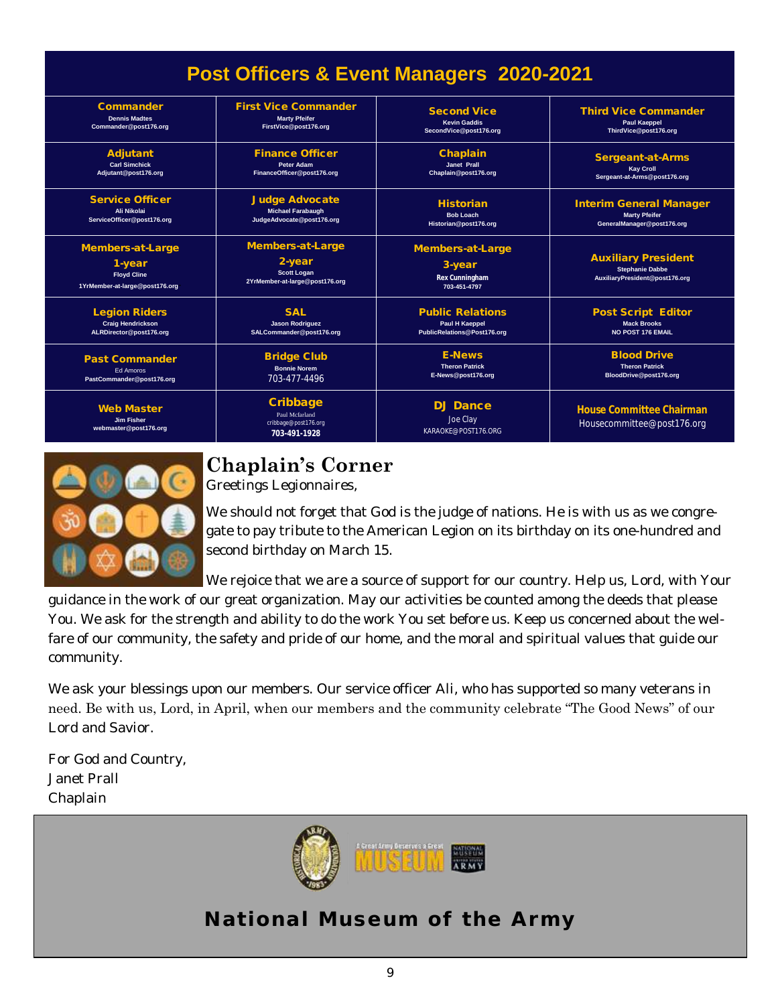| Post Officers & Event Managers 2020-2021                                           |                                                                                    |                                                              |                                                                                        |
|------------------------------------------------------------------------------------|------------------------------------------------------------------------------------|--------------------------------------------------------------|----------------------------------------------------------------------------------------|
| Commander                                                                          | <b>First Vice Commander</b>                                                        | Second Vice                                                  | <b>Third Vice Commander</b>                                                            |
| <b>Dennis Madtes</b>                                                               | <b>Marty Pfeifer</b>                                                               | <b>Kevin Gaddis</b>                                          | <b>Paul Kaeppel</b>                                                                    |
| Commander@post176.org                                                              | FirstVice@post176.org                                                              | SecondVice@post176.org                                       | ThirdVice@post176.org                                                                  |
| Adjutant                                                                           | <b>Finance Officer</b>                                                             | Chaplain                                                     | Sergeant-at-Arms                                                                       |
| <b>Carl Simchick</b>                                                               | <b>Peter Adam</b>                                                                  | <b>Janet Prall</b>                                           | <b>Kay Croll</b>                                                                       |
| Adjutant@post176.org                                                               | FinanceOfficer@post176.org                                                         | Chaplain@post176.org                                         | Sergeant-at-Arms@post176.org                                                           |
| Service Officer                                                                    | Judge Advocate                                                                     | Historian                                                    | <b>Interim General Manager</b>                                                         |
| Ali Nikolai                                                                        | <b>Michael Farabaugh</b>                                                           | <b>Bob Loach</b>                                             | <b>Marty Pfeifer</b>                                                                   |
| ServiceOfficer@post176.org                                                         | JudgeAdvocate@post176.org                                                          | Historian@post176.org                                        | GeneralManager@post176.org                                                             |
| Members-at-Large<br>1-year<br><b>Floyd Cline</b><br>1YrMember-at-large@post176.org | Members-at-Large<br>2-year<br><b>Scott Logan</b><br>2YrMember-at-large@post176.org | Members-at-Large<br>3-year<br>Rex Cunningham<br>703-451-4797 | <b>Auxiliary President</b><br><b>Stephanie Dabbe</b><br>AuxiliaryPresident@post176.org |
| <b>Legion Riders</b>                                                               | <b>SAI</b>                                                                         | <b>Public Relations</b>                                      | Post Script Editor                                                                     |
| <b>Craig Hendrickson</b>                                                           | <b>Jason Rodriguez</b>                                                             | <b>Paul H Kaeppel</b>                                        | <b>Mack Brooks</b>                                                                     |
| ALRDirector@post176.org                                                            | SALCommander@post176.org                                                           | PublicRelations@Post176.org                                  | <b>NO POST 176 EMAIL</b>                                                               |
| Past Commander                                                                     | <b>Bridge Club</b>                                                                 | <b>F-News</b>                                                | <b>Blood Drive</b>                                                                     |
| <b>Ed Amoros</b>                                                                   | <b>Bonnie Norem</b>                                                                | <b>Theron Patrick</b>                                        | <b>Theron Patrick</b>                                                                  |
| PastCommander@post176.org                                                          | 703-477-4496                                                                       | E-News@post176.org                                           | BloodDrive@post176.org                                                                 |
| <b>Web Master</b><br><b>Jim Fisher</b><br>webmaster@post176.org                    | Cribbage<br>Paul Mcfarland<br>cribbage@post176.org<br>703-491-1928                 | DJ Dance<br>Joe Clay<br>KARAOKE@POST176.ORG                  | House Committee Chairman<br>Housecommittee@post176.org                                 |



### **Chaplain's Corner**

Greetings Legionnaires,

We should not forget that God is the judge of nations. He is with us as we congregate to pay tribute to the American Legion on its birthday on its one-hundred and second birthday on March 15.

We rejoice that we are a source of support for our country. Help us, Lord, with Your

guidance in the work of our great organization. May our activities be counted among the deeds that please You. We ask for the strength and ability to do the work You set before us. Keep us concerned about the welfare of our community, the safety and pride of our home, and the moral and spiritual values that guide our community.

We ask your blessings upon our members. Our service officer Ali, who has supported so many veterans in need. Be with us, Lord, in April, when our members and the community celebrate "The Good News" of our Lord and Savior.

For God and Country, Janet Prall Chaplain



National Museum of the Army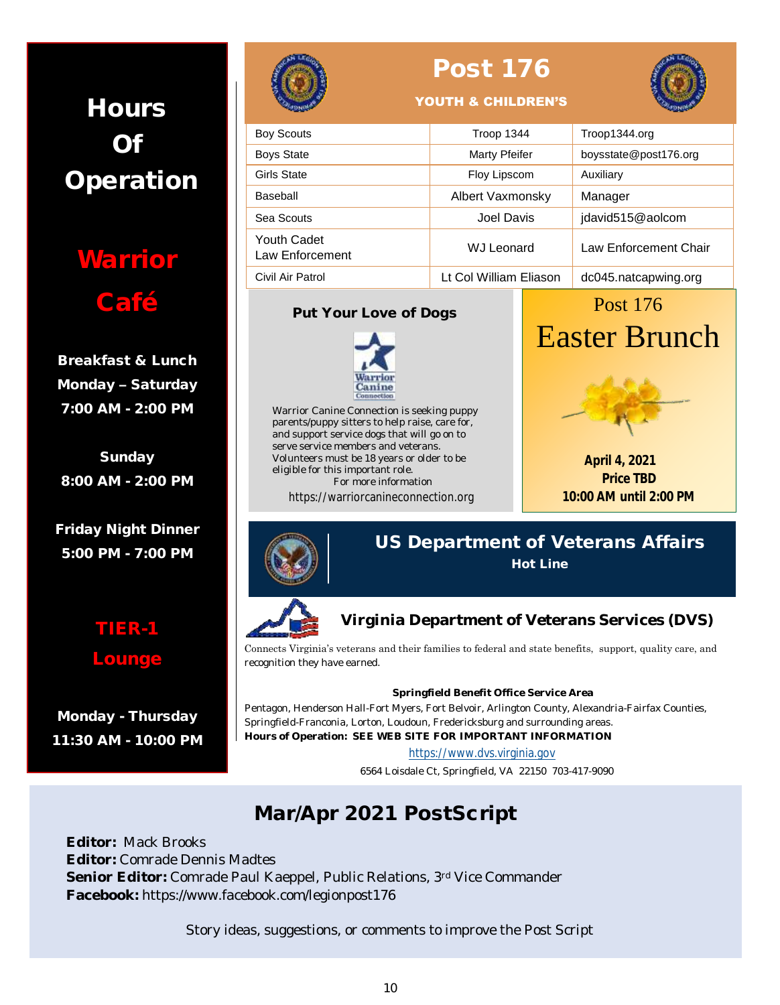## **Hours** Of Operation

**Warrior** Café

Breakfast & Lunch Monday – Saturday 7:00 AM - 2:00 PM

Sunday 8:00 AM - 2:00 PM

Friday Night Dinner 5:00 PM - 7:00 PM

Lounge

Monday - Thursday 11:30 AM - 10:00 PM



## Post 176



### YOUTH & CHILDREN'S

| <b>Boy Scouts</b>              | Troop 1344             | Troop1344.org         |
|--------------------------------|------------------------|-----------------------|
| <b>Boys State</b>              | Marty Pfeifer          | boysstate@post176.org |
| Girls State                    | Floy Lipscom           | Auxiliary             |
| Baseball                       | Albert Vaxmonsky       | Manager               |
| Sea Scouts                     | Joel Davis             | jdavid515@aolcom      |
| Youth Cadet<br>Law Enforcement | <b>WJ Leonard</b>      | Law Enforcement Chair |
| Civil Air Patrol               | Lt Col William Eliason | dc045.natcapwing.org  |

### Put Your Love of Dogs



Warrior Canine Connection is seeking puppy parents/puppy sitters to help raise, care for, and support service dogs that will go on to serve service members and veterans. Volunteers must be 18 years or older to be eligible for this important role. For more information

https://warriorcanineconnection.org

## Post 176 Easter Brunch



**April 4, 2021 Price TBD 10:00 AM until 2:00 PM**



US Department of Veterans Affairs Hot Line



**Virginia Department of Veterans Services (DVS)** 

Connects Virginia's veterans and their families to federal and state benefits, support, quality care, and recognition they have earned.

### **Springfield Benefit Office Service Area**

Pentagon, Henderson Hall-Fort Myers, Fort Belvoir, Arlington County, Alexandria-Fairfax Counties, Springfield-Franconia, Lorton, Loudoun, Fredericksburg and surrounding areas. **Hours of Operation: SEE WEB SITE FOR IMPORTANT INFORMATION**

### [https://www.dvs.virginia.gov](https://www.dvs.virginia.gov/)

6564 Loisdale Ct, Springfield, VA 22150 703-417-9090

## Mar/Apr 2021 PostScript

**Editor:** Mack Brooks **Editor:** Comrade Dennis Madtes **Senior Editor:** Comrade Paul Kaeppel, Public Relations, 3rd Vice Commander **Facebook:** https://www.facebook.com/legionpost176

Story ideas, suggestions, or comments to improve the Post Script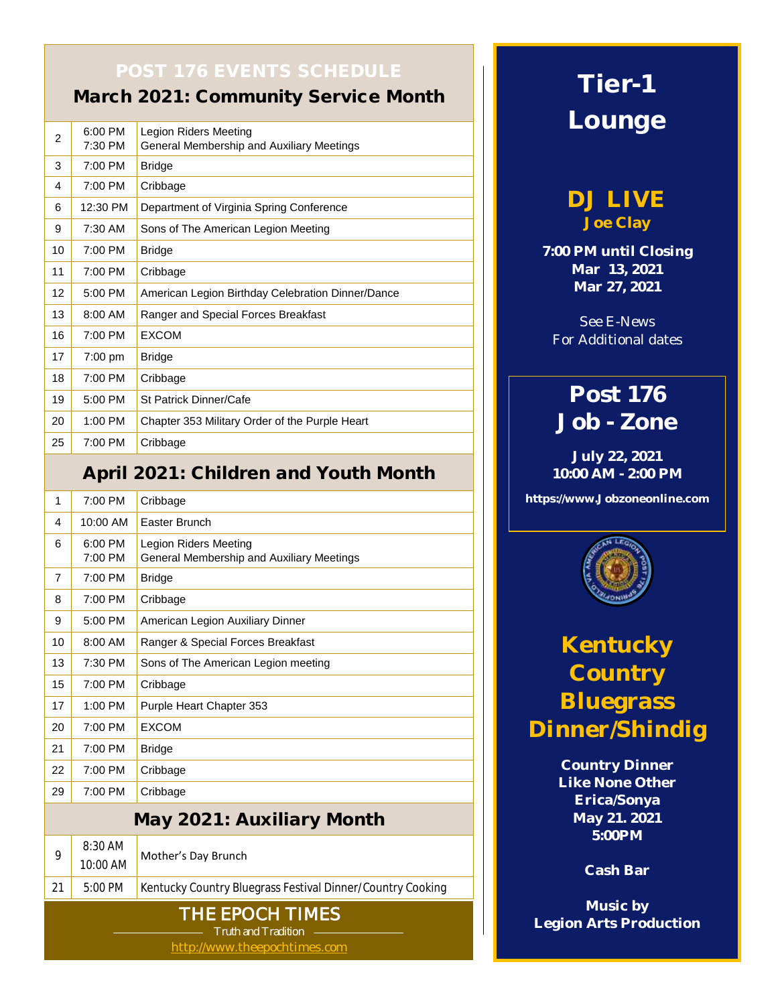March 2021: Community Service Month

| 2                 | $6:00$ PM<br>7:30 PM | Legion Riders Meeting<br>General Membership and Auxiliary Meetings |
|-------------------|----------------------|--------------------------------------------------------------------|
| 3                 | 7:00 PM              | <b>Bridge</b>                                                      |
| 4                 | 7:00 PM              | Cribbage                                                           |
| 6                 | 12:30 PM             | Department of Virginia Spring Conference                           |
| 9                 | $7:30$ AM            | Sons of The American Legion Meeting                                |
| 10                | 7:00 PM              | <b>Bridge</b>                                                      |
| 11                | 7:00 PM              | Cribbage                                                           |
| $12 \overline{ }$ | 5:00 PM              | American Legion Birthday Celebration Dinner/Dance                  |
| 13                | 8:00 AM              | Ranger and Special Forces Breakfast                                |
| 16                | 7:00 PM              | <b>EXCOM</b>                                                       |
| 17                | $7:00 \text{ pm}$    | <b>Bridge</b>                                                      |
| 18                | 7:00 PM              | Cribbage                                                           |
| 19                | $5:00$ PM            | <b>St Patrick Dinner/Cafe</b>                                      |
| 20                | 1:00 PM              | Chapter 353 Military Order of the Purple Heart                     |
| 25                | 7:00 PM              | Cribbage                                                           |

### April 2021: Children and Youth Month

| 1                                                                             | 7:00 PM               | Cribbage                                                                  |
|-------------------------------------------------------------------------------|-----------------------|---------------------------------------------------------------------------|
| 4                                                                             | 10:00 AM              | Easter Brunch                                                             |
| 6                                                                             | 6:00 PM<br>7:00 PM    | <b>Legion Riders Meeting</b><br>General Membership and Auxiliary Meetings |
| $\overline{7}$                                                                | 7:00 PM               | <b>Bridge</b>                                                             |
| 8                                                                             | 7:00 PM               | Cribbage                                                                  |
| 9                                                                             | 5:00 PM               | American Legion Auxiliary Dinner                                          |
| 10                                                                            | 8:00 AM               | Ranger & Special Forces Breakfast                                         |
| 13                                                                            | 7:30 PM               | Sons of The American Legion meeting                                       |
| 15                                                                            | 7:00 PM               | Cribbage                                                                  |
| 17                                                                            | 1:00 PM               | Purple Heart Chapter 353                                                  |
| 20                                                                            | 7:00 PM               | <b>EXCOM</b>                                                              |
| 21                                                                            | 7:00 PM               | <b>Bridge</b>                                                             |
| 22                                                                            | 7:00 PM               | Cribbage                                                                  |
| 29                                                                            | 7:00 PM               | Cribbage                                                                  |
| May 2021: Auxiliary Month                                                     |                       |                                                                           |
| 9                                                                             | $8:30$ AM<br>10:00 AM | Mother's Day Brunch                                                       |
| 21                                                                            | 5:00 PM               | Kentucky Country Bluegrass Festival Dinner/Country Cooking                |
| THE EPOCH TIMES<br><b>Truth and Tradition</b><br>http://www.theepochtimes.com |                       |                                                                           |

## Tier-1 Lounge

**DJ LIVE Joe Clay**

**7:00 PM until Closing Mar 13, 2021 Mar 27, 2021**

See E-News For Additional dates

## **Post 176 Job - Zone**

**July 22, 2021 10:00 AM - 2:00 PM**

**https://www.Jobzoneonline.com**



## **Kentucky Country Bluegrass Dinner/Shindig**

**Country Dinner Like None Other Erica/Sonya May 21. 2021 5:00PM**

**Cash Bar**

**Music by Legion Arts Production**